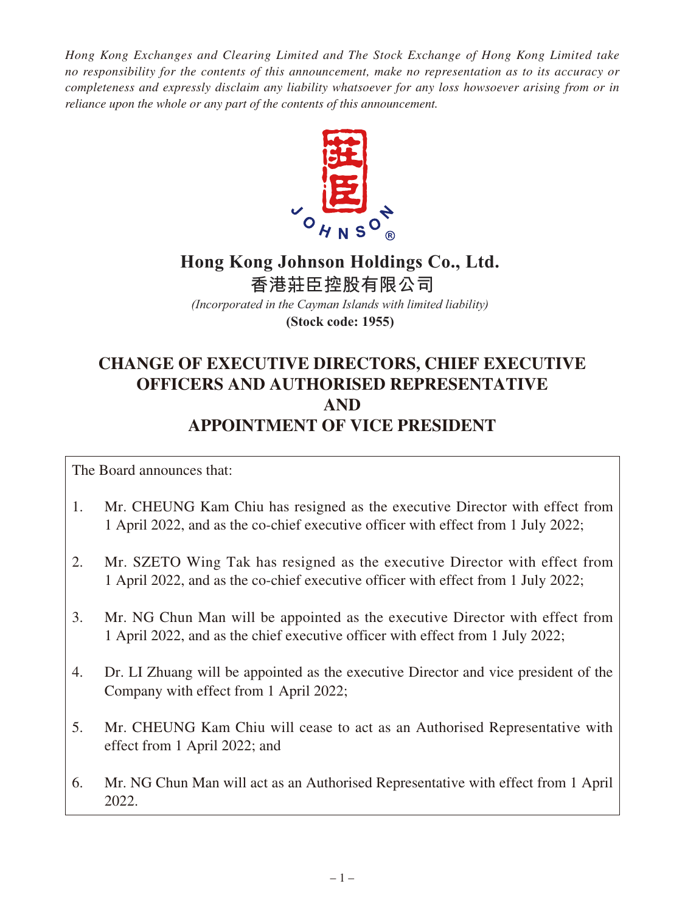*Hong Kong Exchanges and Clearing Limited and The Stock Exchange of Hong Kong Limited take no responsibility for the contents of this announcement, make no representation as to its accuracy or completeness and expressly disclaim any liability whatsoever for any loss howsoever arising from or in reliance upon the whole or any part of the contents of this announcement.*



## **Hong Kong Johnson Holdings Co., Ltd. 香港莊臣控股有限公司**

*(Incorporated in the Cayman Islands with limited liability)* **(Stock code: 1955)**

# **CHANGE OF EXECUTIVE DIRECTORS, CHIEF EXECUTIVE OFFICERS AND AUTHORISED REPRESENTATIVE AND APPOINTMENT OF VICE PRESIDENT**

The Board announces that:

- 1. Mr. CHEUNG Kam Chiu has resigned as the executive Director with effect from 1 April 2022, and as the co-chief executive officer with effect from 1 July 2022;
- 2. Mr. SZETO Wing Tak has resigned as the executive Director with effect from 1 April 2022, and as the co-chief executive officer with effect from 1 July 2022;
- 3. Mr. NG Chun Man will be appointed as the executive Director with effect from 1 April 2022, and as the chief executive officer with effect from 1 July 2022;
- 4. Dr. LI Zhuang will be appointed as the executive Director and vice president of the Company with effect from 1 April 2022;
- 5. Mr. CHEUNG Kam Chiu will cease to act as an Authorised Representative with effect from 1 April 2022; and
- 6. Mr. NG Chun Man will act as an Authorised Representative with effect from 1 April 2022.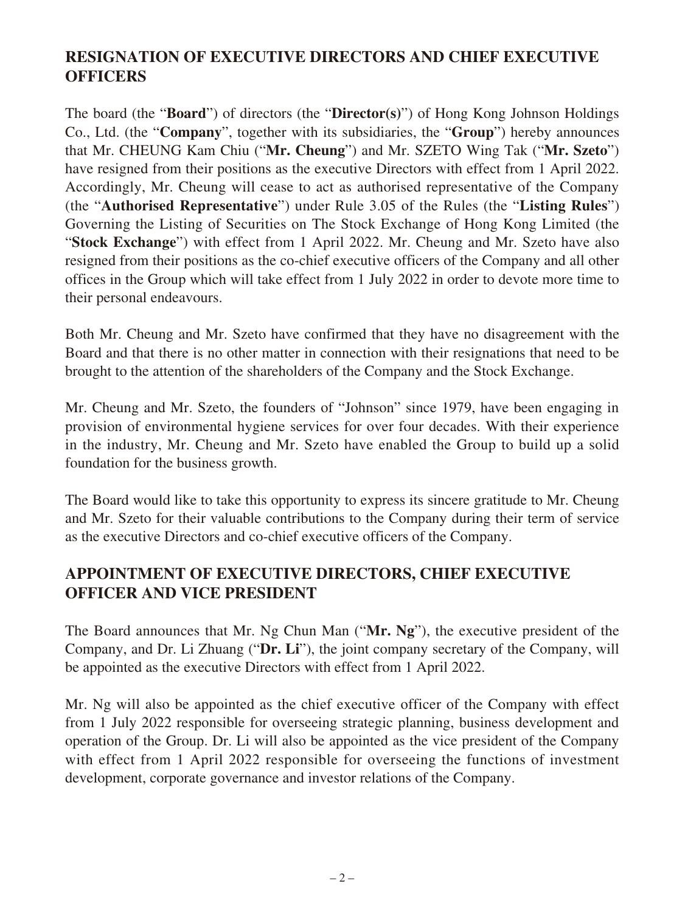### **RESIGNATION OF EXECUTIVE DIRECTORS AND CHIEF EXECUTIVE OFFICERS**

The board (the "**Board**") of directors (the "**Director(s)**") of Hong Kong Johnson Holdings Co., Ltd. (the "**Company**", together with its subsidiaries, the "**Group**") hereby announces that Mr. CHEUNG Kam Chiu ("**Mr. Cheung**") and Mr. SZETO Wing Tak ("**Mr. Szeto**") have resigned from their positions as the executive Directors with effect from 1 April 2022. Accordingly, Mr. Cheung will cease to act as authorised representative of the Company (the "**Authorised Representative**") under Rule 3.05 of the Rules (the "**Listing Rules**") Governing the Listing of Securities on The Stock Exchange of Hong Kong Limited (the "**Stock Exchange**") with effect from 1 April 2022. Mr. Cheung and Mr. Szeto have also resigned from their positions as the co-chief executive officers of the Company and all other offices in the Group which will take effect from 1 July 2022 in order to devote more time to their personal endeavours.

Both Mr. Cheung and Mr. Szeto have confirmed that they have no disagreement with the Board and that there is no other matter in connection with their resignations that need to be brought to the attention of the shareholders of the Company and the Stock Exchange.

Mr. Cheung and Mr. Szeto, the founders of "Johnson" since 1979, have been engaging in provision of environmental hygiene services for over four decades. With their experience in the industry, Mr. Cheung and Mr. Szeto have enabled the Group to build up a solid foundation for the business growth.

The Board would like to take this opportunity to express its sincere gratitude to Mr. Cheung and Mr. Szeto for their valuable contributions to the Company during their term of service as the executive Directors and co-chief executive officers of the Company.

#### **APPOINTMENT OF EXECUTIVE DIRECTORS, CHIEF EXECUTIVE OFFICER AND VICE PRESIDENT**

The Board announces that Mr. Ng Chun Man ("**Mr. Ng**"), the executive president of the Company, and Dr. Li Zhuang ("**Dr. Li**"), the joint company secretary of the Company, will be appointed as the executive Directors with effect from 1 April 2022.

Mr. Ng will also be appointed as the chief executive officer of the Company with effect from 1 July 2022 responsible for overseeing strategic planning, business development and operation of the Group. Dr. Li will also be appointed as the vice president of the Company with effect from 1 April 2022 responsible for overseeing the functions of investment development, corporate governance and investor relations of the Company.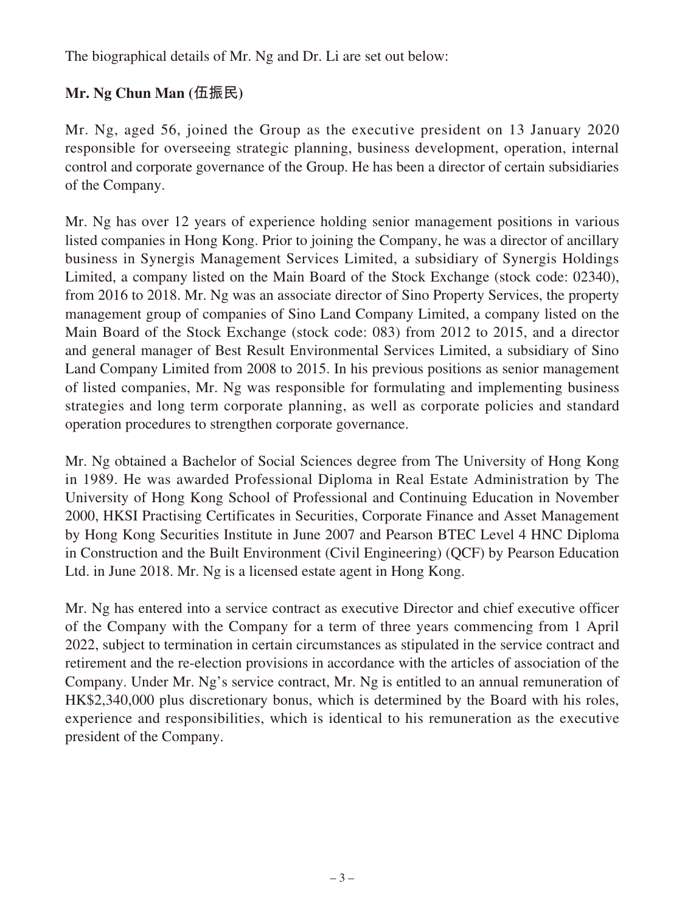The biographical details of Mr. Ng and Dr. Li are set out below:

### **Mr. Ng Chun Man (伍振民)**

Mr. Ng, aged 56, joined the Group as the executive president on 13 January 2020 responsible for overseeing strategic planning, business development, operation, internal control and corporate governance of the Group. He has been a director of certain subsidiaries of the Company.

Mr. Ng has over 12 years of experience holding senior management positions in various listed companies in Hong Kong. Prior to joining the Company, he was a director of ancillary business in Synergis Management Services Limited, a subsidiary of Synergis Holdings Limited, a company listed on the Main Board of the Stock Exchange (stock code: 02340), from 2016 to 2018. Mr. Ng was an associate director of Sino Property Services, the property management group of companies of Sino Land Company Limited, a company listed on the Main Board of the Stock Exchange (stock code: 083) from 2012 to 2015, and a director and general manager of Best Result Environmental Services Limited, a subsidiary of Sino Land Company Limited from 2008 to 2015. In his previous positions as senior management of listed companies, Mr. Ng was responsible for formulating and implementing business strategies and long term corporate planning, as well as corporate policies and standard operation procedures to strengthen corporate governance.

Mr. Ng obtained a Bachelor of Social Sciences degree from The University of Hong Kong in 1989. He was awarded Professional Diploma in Real Estate Administration by The University of Hong Kong School of Professional and Continuing Education in November 2000, HKSI Practising Certificates in Securities, Corporate Finance and Asset Management by Hong Kong Securities Institute in June 2007 and Pearson BTEC Level 4 HNC Diploma in Construction and the Built Environment (Civil Engineering) (QCF) by Pearson Education Ltd. in June 2018. Mr. Ng is a licensed estate agent in Hong Kong.

Mr. Ng has entered into a service contract as executive Director and chief executive officer of the Company with the Company for a term of three years commencing from 1 April 2022, subject to termination in certain circumstances as stipulated in the service contract and retirement and the re-election provisions in accordance with the articles of association of the Company. Under Mr. Ng's service contract, Mr. Ng is entitled to an annual remuneration of HK\$2,340,000 plus discretionary bonus, which is determined by the Board with his roles, experience and responsibilities, which is identical to his remuneration as the executive president of the Company.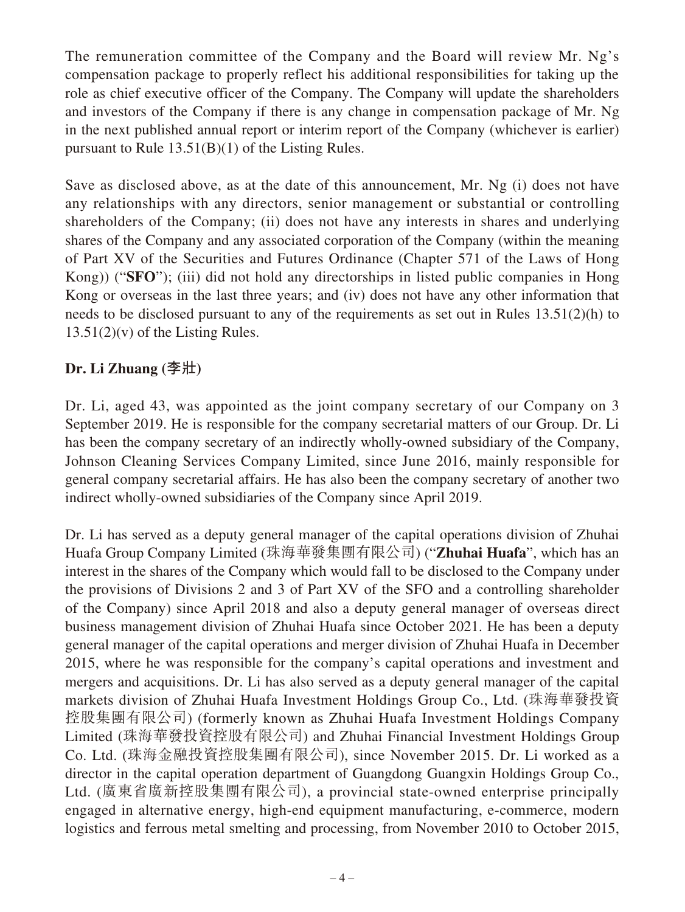The remuneration committee of the Company and the Board will review Mr. Ng's compensation package to properly reflect his additional responsibilities for taking up the role as chief executive officer of the Company. The Company will update the shareholders and investors of the Company if there is any change in compensation package of Mr. Ng in the next published annual report or interim report of the Company (whichever is earlier) pursuant to Rule 13.51(B)(1) of the Listing Rules.

Save as disclosed above, as at the date of this announcement, Mr. Ng (i) does not have any relationships with any directors, senior management or substantial or controlling shareholders of the Company; (ii) does not have any interests in shares and underlying shares of the Company and any associated corporation of the Company (within the meaning of Part XV of the Securities and Futures Ordinance (Chapter 571 of the Laws of Hong Kong)) ("**SFO**"); (iii) did not hold any directorships in listed public companies in Hong Kong or overseas in the last three years; and (iv) does not have any other information that needs to be disclosed pursuant to any of the requirements as set out in Rules 13.51(2)(h) to  $13.51(2)(v)$  of the Listing Rules.

#### **Dr. Li Zhuang (李壯)**

Dr. Li, aged 43, was appointed as the joint company secretary of our Company on 3 September 2019. He is responsible for the company secretarial matters of our Group. Dr. Li has been the company secretary of an indirectly wholly-owned subsidiary of the Company, Johnson Cleaning Services Company Limited, since June 2016, mainly responsible for general company secretarial affairs. He has also been the company secretary of another two indirect wholly-owned subsidiaries of the Company since April 2019.

Dr. Li has served as a deputy general manager of the capital operations division of Zhuhai Huafa Group Company Limited (珠海華發集團有限公司) ("**Zhuhai Huafa**", which has an interest in the shares of the Company which would fall to be disclosed to the Company under the provisions of Divisions 2 and 3 of Part XV of the SFO and a controlling shareholder of the Company) since April 2018 and also a deputy general manager of overseas direct business management division of Zhuhai Huafa since October 2021. He has been a deputy general manager of the capital operations and merger division of Zhuhai Huafa in December 2015, where he was responsible for the company's capital operations and investment and mergers and acquisitions. Dr. Li has also served as a deputy general manager of the capital markets division of Zhuhai Huafa Investment Holdings Group Co., Ltd. (珠海華發投資 控股集團有限公司) (formerly known as Zhuhai Huafa Investment Holdings Company Limited (珠海華發投資控股有限公司) and Zhuhai Financial Investment Holdings Group Co. Ltd. (珠海金融投資控股集團有限公司), since November 2015. Dr. Li worked as a director in the capital operation department of Guangdong Guangxin Holdings Group Co., Ltd. (廣東省廣新控股集團有限公司), a provincial state-owned enterprise principally engaged in alternative energy, high-end equipment manufacturing, e-commerce, modern logistics and ferrous metal smelting and processing, from November 2010 to October 2015,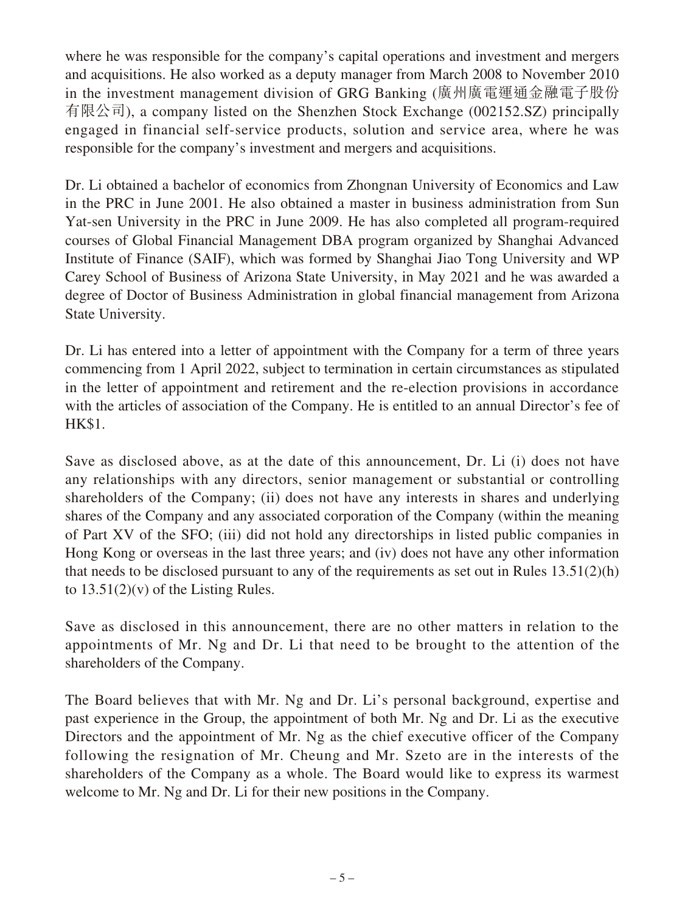where he was responsible for the company's capital operations and investment and mergers and acquisitions. He also worked as a deputy manager from March 2008 to November 2010 in the investment management division of GRG Banking (廣州廣電運通金融電子股份 有限公司), a company listed on the Shenzhen Stock Exchange (002152.SZ) principally engaged in financial self-service products, solution and service area, where he was responsible for the company's investment and mergers and acquisitions.

Dr. Li obtained a bachelor of economics from Zhongnan University of Economics and Law in the PRC in June 2001. He also obtained a master in business administration from Sun Yat-sen University in the PRC in June 2009. He has also completed all program-required courses of Global Financial Management DBA program organized by Shanghai Advanced Institute of Finance (SAIF), which was formed by Shanghai Jiao Tong University and WP Carey School of Business of Arizona State University, in May 2021 and he was awarded a degree of Doctor of Business Administration in global financial management from Arizona State University.

Dr. Li has entered into a letter of appointment with the Company for a term of three years commencing from 1 April 2022, subject to termination in certain circumstances as stipulated in the letter of appointment and retirement and the re-election provisions in accordance with the articles of association of the Company. He is entitled to an annual Director's fee of HK\$1.

Save as disclosed above, as at the date of this announcement, Dr. Li (i) does not have any relationships with any directors, senior management or substantial or controlling shareholders of the Company; (ii) does not have any interests in shares and underlying shares of the Company and any associated corporation of the Company (within the meaning of Part XV of the SFO; (iii) did not hold any directorships in listed public companies in Hong Kong or overseas in the last three years; and (iv) does not have any other information that needs to be disclosed pursuant to any of the requirements as set out in Rules 13.51(2)(h) to  $13.51(2)(v)$  of the Listing Rules.

Save as disclosed in this announcement, there are no other matters in relation to the appointments of Mr. Ng and Dr. Li that need to be brought to the attention of the shareholders of the Company.

The Board believes that with Mr. Ng and Dr. Li's personal background, expertise and past experience in the Group, the appointment of both Mr. Ng and Dr. Li as the executive Directors and the appointment of Mr. Ng as the chief executive officer of the Company following the resignation of Mr. Cheung and Mr. Szeto are in the interests of the shareholders of the Company as a whole. The Board would like to express its warmest welcome to Mr. Ng and Dr. Li for their new positions in the Company.